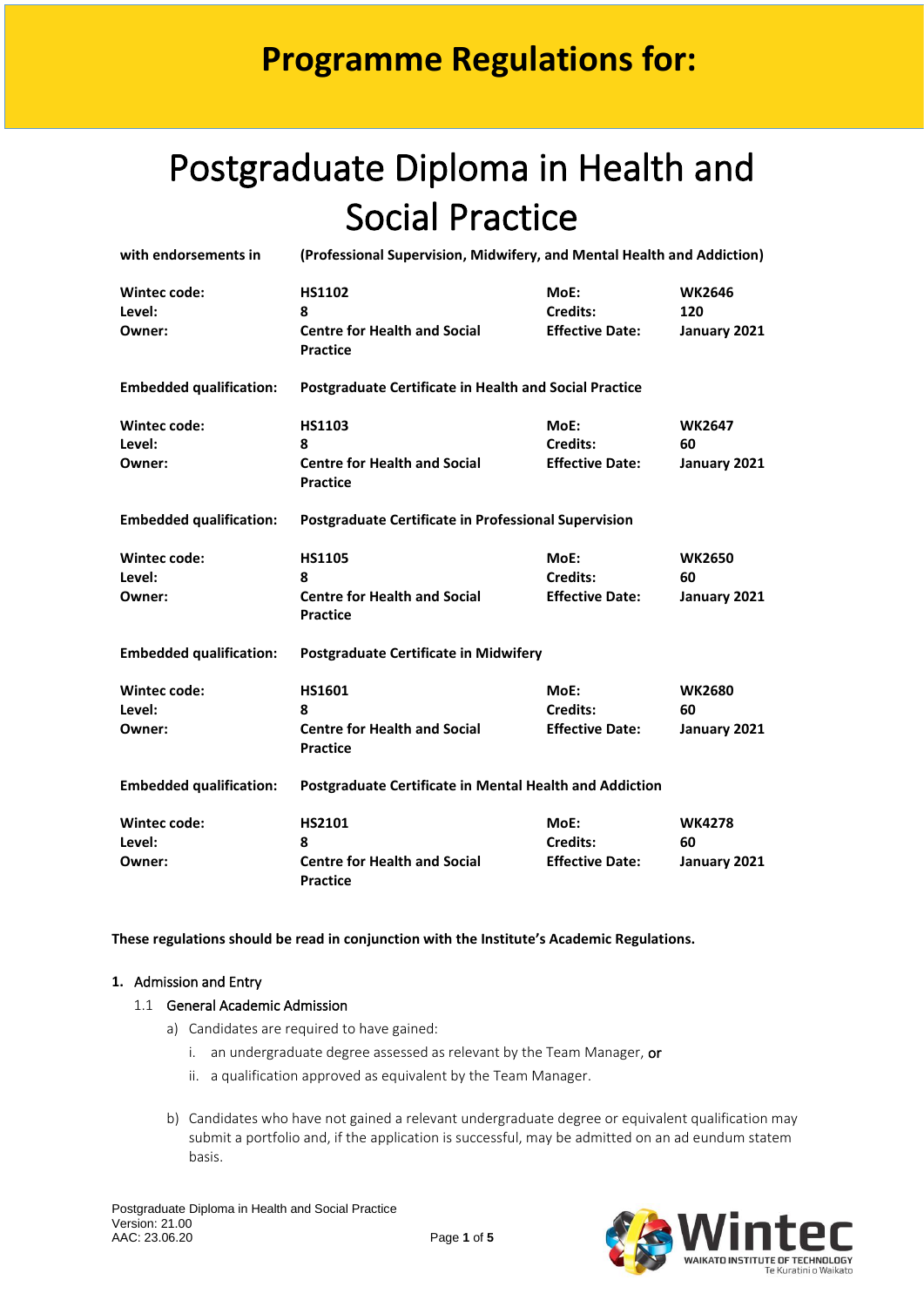# Postgraduate Diploma in Health and Social Practice

| with endorsements in           | (Professional Supervision, Midwifery, and Mental Health and Addiction) |                        |               |  |  |
|--------------------------------|------------------------------------------------------------------------|------------------------|---------------|--|--|
| <b>Wintec code:</b>            | <b>HS1102</b>                                                          | MoE:                   | <b>WK2646</b> |  |  |
| Level:                         | 8                                                                      | Credits:               | 120           |  |  |
| Owner:                         | <b>Centre for Health and Social</b><br><b>Practice</b>                 | <b>Effective Date:</b> | January 2021  |  |  |
| <b>Embedded qualification:</b> | <b>Postgraduate Certificate in Health and Social Practice</b>          |                        |               |  |  |
| <b>Wintec code:</b>            | <b>HS1103</b>                                                          | MoE:                   | <b>WK2647</b> |  |  |
| Level:                         | 8                                                                      | <b>Credits:</b>        | 60            |  |  |
| Owner:                         | <b>Centre for Health and Social</b><br><b>Practice</b>                 | <b>Effective Date:</b> | January 2021  |  |  |
| <b>Embedded qualification:</b> | <b>Postgraduate Certificate in Professional Supervision</b>            |                        |               |  |  |
| Wintec code:                   | <b>HS1105</b>                                                          | MoE:                   | <b>WK2650</b> |  |  |
| Level:                         | ጸ                                                                      | Credits:               | 60            |  |  |
| Owner:                         | <b>Centre for Health and Social</b><br><b>Practice</b>                 | <b>Effective Date:</b> | January 2021  |  |  |
| <b>Embedded qualification:</b> | <b>Postgraduate Certificate in Midwifery</b>                           |                        |               |  |  |
| <b>Wintec code:</b>            | HS1601                                                                 | MoE:                   | <b>WK2680</b> |  |  |
| Level:                         | 8                                                                      | Credits:               | 60            |  |  |
| Owner:                         | <b>Centre for Health and Social</b><br><b>Practice</b>                 | <b>Effective Date:</b> | January 2021  |  |  |
| <b>Embedded qualification:</b> | <b>Postgraduate Certificate in Mental Health and Addiction</b>         |                        |               |  |  |
| Wintec code:                   | HS2101                                                                 | MoE:                   | <b>WK4278</b> |  |  |
| Level:                         | 8                                                                      | <b>Credits:</b>        | 60            |  |  |
| Owner:                         | <b>Centre for Health and Social</b><br><b>Practice</b>                 | <b>Effective Date:</b> | January 2021  |  |  |

**These regulations should be read in conjunction with the Institute's Academic Regulations.** 

### **1.** Admission and Entry

#### 1.1 General Academic Admission

- a) Candidates are required to have gained:
	- i. an undergraduate degree assessed as relevant by the Team Manager, or
	- ii. a qualification approved as equivalent by the Team Manager.
- b) Candidates who have not gained a relevant undergraduate degree or equivalent qualification may submit a portfolio and, if the application is successful, may be admitted on an ad eundum statem basis.

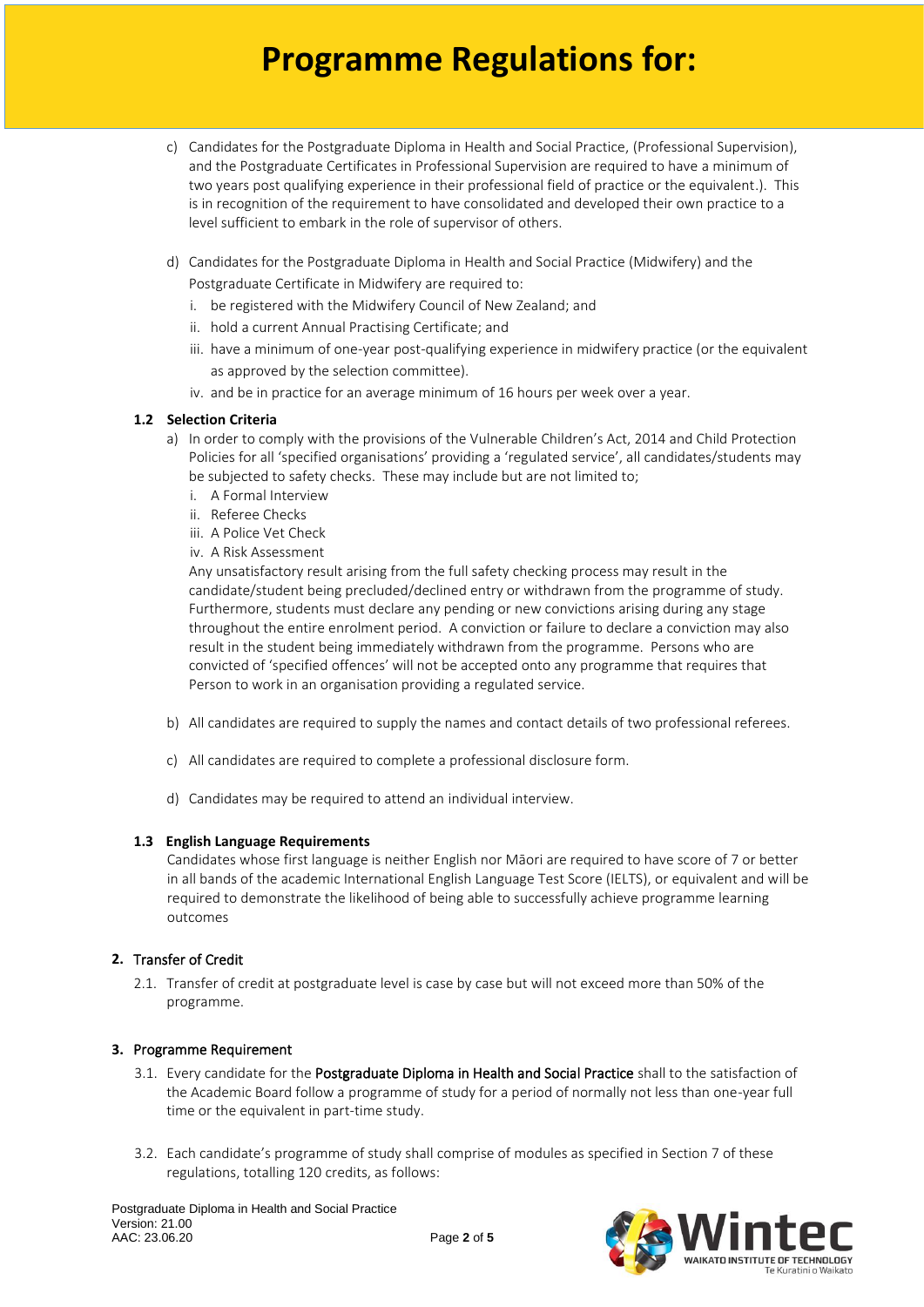- c) Candidates for the Postgraduate Diploma in Health and Social Practice, (Professional Supervision), and the Postgraduate Certificates in Professional Supervision are required to have a minimum of two years post qualifying experience in their professional field of practice or the equivalent.). This is in recognition of the requirement to have consolidated and developed their own practice to a level sufficient to embark in the role of supervisor of others.
- d) Candidates for the Postgraduate Diploma in Health and Social Practice (Midwifery) and the Postgraduate Certificate in Midwifery are required to:
	- i. be registered with the Midwifery Council of New Zealand; and
	- ii. hold a current Annual Practising Certificate; and
	- iii. have a minimum of one-year post-qualifying experience in midwifery practice (or the equivalent as approved by the selection committee).
	- iv. and be in practice for an average minimum of 16 hours per week over a year.

#### **1.2 Selection Criteria**

- a) In order to comply with the provisions of the Vulnerable Children's Act, 2014 and Child Protection Policies for all 'specified organisations' providing a 'regulated service', all candidates/students may be subjected to safety checks. These may include but are not limited to;
	- i. A Formal Interview
	- ii. Referee Checks
	- iii. A Police Vet Check
	- iv. A Risk Assessment

Any unsatisfactory result arising from the full safety checking process may result in the candidate/student being precluded/declined entry or withdrawn from the programme of study. Furthermore, students must declare any pending or new convictions arising during any stage throughout the entire enrolment period. A conviction or failure to declare a conviction may also result in the student being immediately withdrawn from the programme. Persons who are convicted of 'specified offences' will not be accepted onto any programme that requires that Person to work in an organisation providing a regulated service.

- b) All candidates are required to supply the names and contact details of two professional referees.
- c) All candidates are required to complete a professional disclosure form.
- d) Candidates may be required to attend an individual interview.

#### **1.3 English Language Requirements**

Candidates whose first language is neither English nor Māori are required to have score of 7 or better in all bands of the academic International English Language Test Score (IELTS), or equivalent and will be required to demonstrate the likelihood of being able to successfully achieve programme learning outcomes

### **2.** Transfer of Credit

2.1. Transfer of credit at postgraduate level is case by case but will not exceed more than 50% of the programme.

#### **3.** Programme Requirement

- 3.1. Every candidate for the Postgraduate Diploma in Health and Social Practice shall to the satisfaction of the Academic Board follow a programme of study for a period of normally not less than one-year full time or the equivalent in part-time study.
- 3.2. Each candidate's programme of study shall comprise of modules as specified in Section 7 of these regulations, totalling 120 credits, as follows:

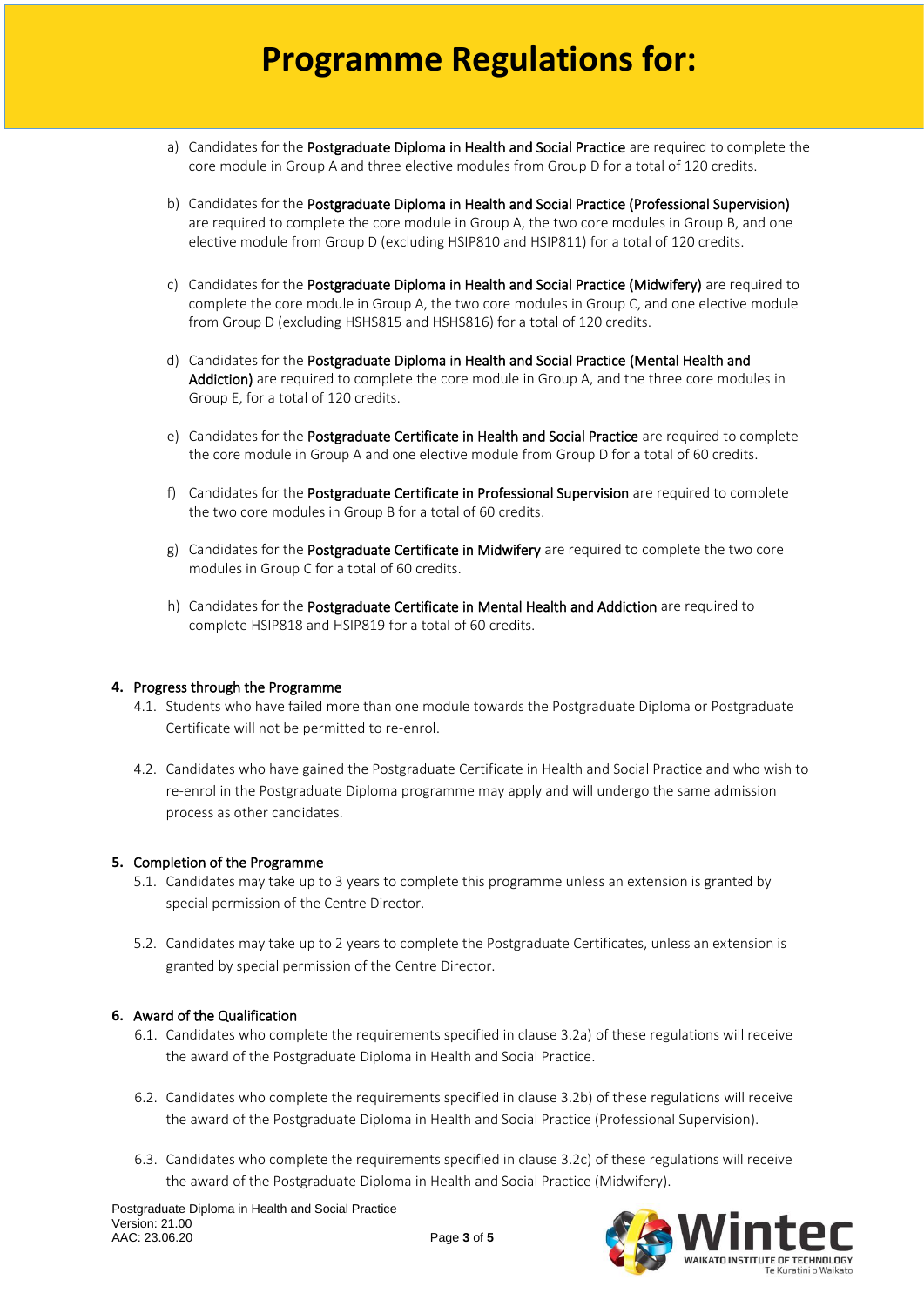- a) Candidates for the Postgraduate Diploma in Health and Social Practice are required to complete the core module in Group A and three elective modules from Group D for a total of 120 credits.
- b) Candidates for the Postgraduate Diploma in Health and Social Practice (Professional Supervision) are required to complete the core module in Group A, the two core modules in Group B, and one elective module from Group D (excluding HSIP810 and HSIP811) for a total of 120 credits.
- c) Candidates for the Postgraduate Diploma in Health and Social Practice (Midwifery) are required to complete the core module in Group A, the two core modules in Group C, and one elective module from Group D (excluding HSHS815 and HSHS816) for a total of 120 credits.
- d) Candidates for the Postgraduate Diploma in Health and Social Practice (Mental Health and Addiction) are required to complete the core module in Group A, and the three core modules in Group E, for a total of 120 credits.
- e) Candidates for the Postgraduate Certificate in Health and Social Practice are required to complete the core module in Group A and one elective module from Group D for a total of 60 credits.
- f) Candidates for the Postgraduate Certificate in Professional Supervision are required to complete the two core modules in Group B for a total of 60 credits.
- g) Candidates for the Postgraduate Certificate in Midwifery are required to complete the two core modules in Group C for a total of 60 credits.
- h) Candidates for the Postgraduate Certificate in Mental Health and Addiction are required to complete HSIP818 and HSIP819 for a total of 60 credits.

#### **4.** Progress through the Programme

- 4.1. Students who have failed more than one module towards the Postgraduate Diploma or Postgraduate Certificate will not be permitted to re-enrol.
- 4.2. Candidates who have gained the Postgraduate Certificate in Health and Social Practice and who wish to re-enrol in the Postgraduate Diploma programme may apply and will undergo the same admission process as other candidates.

#### **5.** Completion of the Programme

- 5.1. Candidates may take up to 3 years to complete this programme unless an extension is granted by special permission of the Centre Director.
- 5.2. Candidates may take up to 2 years to complete the Postgraduate Certificates, unless an extension is granted by special permission of the Centre Director.

#### **6.** Award of the Qualification

- 6.1. Candidates who complete the requirements specified in clause 3.2a) of these regulations will receive the award of the Postgraduate Diploma in Health and Social Practice.
- 6.2. Candidates who complete the requirements specified in clause 3.2b) of these regulations will receive the award of the Postgraduate Diploma in Health and Social Practice (Professional Supervision).
- 6.3. Candidates who complete the requirements specified in clause 3.2c) of these regulations will receive the award of the Postgraduate Diploma in Health and Social Practice (Midwifery).

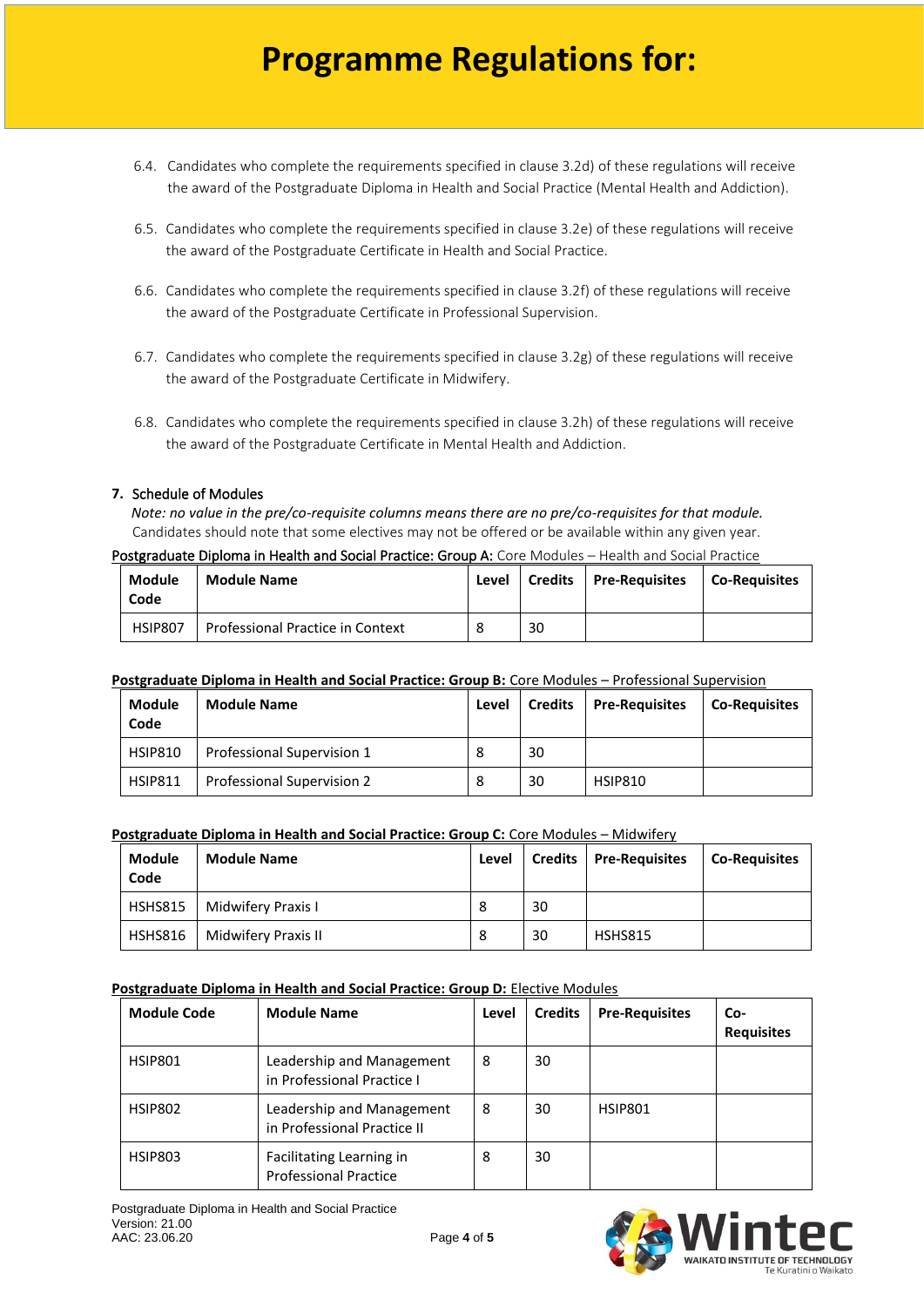- 6.4. Candidates who complete the requirements specified in clause 3.2d) of these regulations will receive the award of the Postgraduate Diploma in Health and Social Practice (Mental Health and Addiction).
- 6.5. Candidates who complete the requirements specified in clause 3.2e) of these regulations will receive the award of the Postgraduate Certificate in Health and Social Practice.
- 6.6. Candidates who complete the requirements specified in clause 3.2f) of these regulations will receive the award of the Postgraduate Certificate in Professional Supervision.
- 6.7. Candidates who complete the requirements specified in clause 3.2g) of these regulations will receive the award of the Postgraduate Certificate in Midwifery.
- 6.8. Candidates who complete the requirements specified in clause 3.2h) of these regulations will receive the award of the Postgraduate Certificate in Mental Health and Addiction.

#### **7.** Schedule of Modules

*Note: no value in the pre/co-requisite columns means there are no pre/co-requisites for that module.* Candidates should note that some electives may not be offered or be available within any given year.

#### Postgraduate Diploma in Health and Social Practice: Group A: Core Modules – Health and Social Practice

| <b>Module</b><br>Code | <b>Module Name</b>               | Level |    | Credits   Pre-Requisites | Co-Requisites |
|-----------------------|----------------------------------|-------|----|--------------------------|---------------|
| HSIP807               | Professional Practice in Context |       | 30 |                          |               |

#### **Postgraduate Diploma in Health and Social Practice: Group B:** Core Modules – Professional Supervision

| <b>Module</b><br>Code | <b>Module Name</b>         | Level | <b>Credits</b> | <b>Pre-Requisites</b> | <b>Co-Requisites</b> |
|-----------------------|----------------------------|-------|----------------|-----------------------|----------------------|
| <b>HSIP810</b>        | Professional Supervision 1 |       | 30             |                       |                      |
| <b>HSIP811</b>        | Professional Supervision 2 |       | 30             | <b>HSIP810</b>        |                      |

#### **Postgraduate Diploma in Health and Social Practice: Group C:** Core Modules – Midwifery

| <b>Module</b><br>Code | <b>Module Name</b>  | Level | <b>Credits</b> | <b>Pre-Requisites</b> | <b>Co-Requisites</b> |
|-----------------------|---------------------|-------|----------------|-----------------------|----------------------|
| <b>HSHS815</b>        | Midwifery Praxis I  | 8     | 30             |                       |                      |
| HSHS816               | Midwifery Praxis II | 8     | 30             | <b>HSHS815</b>        |                      |

#### **Postgraduate Diploma in Health and Social Practice: Group D:** Elective Modules

| <b>Module Code</b> | <b>Module Name</b>                                       | Level | <b>Credits</b> | <b>Pre-Requisites</b> | Co-<br><b>Requisites</b> |
|--------------------|----------------------------------------------------------|-------|----------------|-----------------------|--------------------------|
| HSIP801            | Leadership and Management<br>in Professional Practice I  | 8     | 30             |                       |                          |
| <b>HSIP802</b>     | Leadership and Management<br>in Professional Practice II | 8     | 30             | <b>HSIP801</b>        |                          |
| <b>HSIP803</b>     | Facilitating Learning in<br><b>Professional Practice</b> | 8     | 30             |                       |                          |